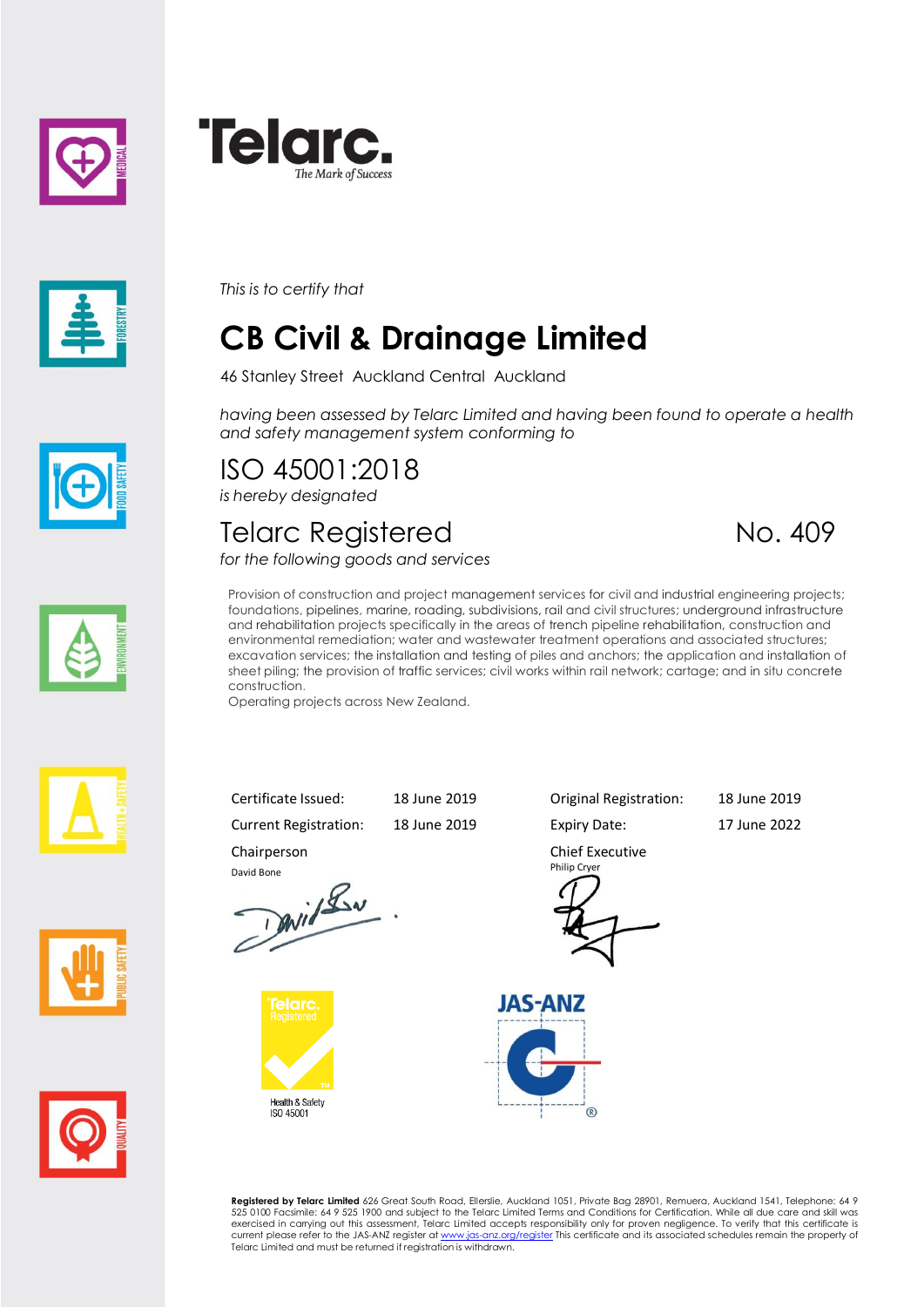





*This is to certify that*

# **CB Civil & Drainage Limited**

46 Stanley Street Auckland Central Auckland

*having been assessed by Telarc Limited and having been found to operate a health and safety management system conforming to*

ISO 45001:2018 *is hereby designated*

### Telarc Registered No. 409

*for the following goods and services*



Provision of construction and project management services for civil and industrial engineering projects; foundations, pipelines, marine, roading, subdivisions, rail and civil structures; underground infrastructure and rehabilitation projects specifically in the areas of trench pipeline rehabilitation, construction and environmental remediation; water and wastewater treatment operations and associated structures; excavation services; the installation and testing of piles and anchors; the application and installation of sheet piling; the provision of traffic services; civil works within rail network; cartage; and in situ concrete construction.

Operating projects across New Zealand.







Current Registration: 18 June 2019 Expiry Date: 17 June 2022 Chairperson





Chief Executive Philip Cryer

Certificate Issued: 18 June 2019 Original Registration: 18 June 2019



**Registered by Telarc Limited** 626 Great South Road, Ellerslie, Auckland 1051, Private Bag 28901, Remuera, Auckland 1541, Telephone: 64 9<br>525 0100 Facsimile: 64 9 525 1900 and subject to the Telarc Limited Terms and Condit exercised in carrying out this assessment, Telarc Limited accepts responsibility only for proven negligence. To verify that this certificate is current please refer to the JAS-ANZ register a[t www.jas-anz.org/register](file://///TRITON/docs/Certificates%20&%20Schedules/www.jas-anz.org/register) This certificate and its associated schedules remain the property of Telarc Limited and must be returned if registration is withdrawn.